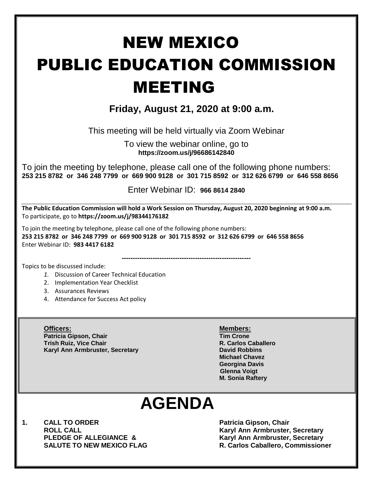# NEW MEXICO PUBLIC EDUCATION COMMISSION MEETING

# **Friday, August 21, 2020 at 9:00 a.m.**

This meeting will be held virtually via Zoom Webinar

To view the webinar online, go to **https://zoom.us/j/96686142840**

To join the meeting by telephone, please call one of the following phone numbers: **253 215 8782 or 346 248 7799 or 669 900 9128 or 301 715 8592 or 312 626 6799 or 646 558 8656** 

Enter Webinar ID: **966 8614 2840**

**----------------------------------------------------------**

**The Public Education Commission will hold a Work Session on Thursday, August 20, 2020 beginning at 9:00 a.m.**  To participate, go to **https://zoom.us/j/98344176182**

To join the meeting by telephone, please call one of the following phone numbers:

**253 215 8782 or 346 248 7799 or 669 900 9128 or 301 715 8592 or 312 626 6799 or 646 558 8656**  Enter Webinar ID: **983 4417 6182**

Topics to be discussed include:

- *1.* Discussion of Career Technical Education
- 2. Implementation Year Checklist
- 3. Assurances Reviews
- 4. Attendance for Success Act policy

**Officers: Members: Patricia Gipson, Chair Trish Ruiz, Vice Chair R. Carlos Caballero Karyl Ann Armbruster, Secretary <b>David Robbins David Robbins** 

**Michael Chavez Georgina Davis Glenna Voigt M. Sonia Raftery**

# **AGENDA**

**1. CALL TO ORDER Patricia Gipson, Chair** 

**ROLL CALL Karyl Ann Armbruster, Secretary Karyl Ann Armbruster, Secretary SALUTE TO NEW MEXICO FLAG R. Carlos Caballero, Commissioner**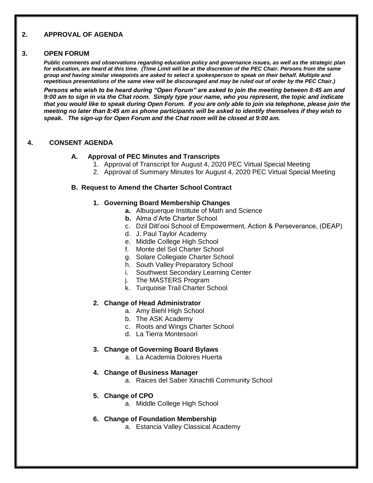## **2. APPROVAL OF AGENDA**

#### **3. OPEN FORUM**

*Public comments and observations regarding education policy and governance issues, as well as the strategic plan for education, are heard at this time. (Time Limit will be at the discretion of the PEC Chair. Persons from the same group and having similar viewpoints are asked to select a spokesperson to speak on their behalf. Multiple and repetitious presentations of the same view will be discouraged and may be ruled out of order by the PEC Chair.)*

*Persons who wish to be heard during "Open Forum" are asked to join the meeting between 8:45 am and 9:00 am to sign in via the Chat room. Simply type your name, who you represent, the topic and indicate that you would like to speak during Open Forum. If you are only able to join via telephone, please join the meeting no later than 8:45 am as phone participants will be asked to identify themselves if they wish to speak. The sign-up for Open Forum and the Chat room will be closed at 9:00 am.*

#### **4. CONSENT AGENDA**

#### **A. Approval of PEC Minutes and Transcripts**

- 1. Approval of Transcript for August 4, 2020 PEC Virtual Special Meeting
- 2. Approval of Summary Minutes for August 4, 2020 PEC Virtual Special Meeting

#### **B. Request to Amend the Charter School Contract**

#### **1. Governing Board Membership Changes**

- **a.** Albuquerque Institute of Math and Science
- **b.** Alma d'Arte Charter School
- c. Dzil Ditl'ooi School of Empowerment, Action & Perseverance, (DEAP)
- d. J. Paul Taylor Academy
- e. Middle College High School
- f. Monte del Sol Charter School
- g. Solare Collegiate Charter School
- h. South Valley Preparatory School
- i. Southwest Secondary Learning Center
- i. The MASTERS Program
- k. Turquoise Trail Charter School

#### **2. Change of Head Administrator**

- a. Amy Biehl High School
- b. The ASK Academy
- c. Roots and Wings Charter School
- d. La Tierra Montessori

#### **3. Change of Governing Board Bylaws**

a. La Academia Dolores Huerta

#### **4. Change of Business Manager**

a. Raices del Saber Xinachtli Community School

#### **5. Change of CPO**

a. Middle College High School

#### **6. Change of Foundation Membership**

a. Estancia Valley Classical Academy